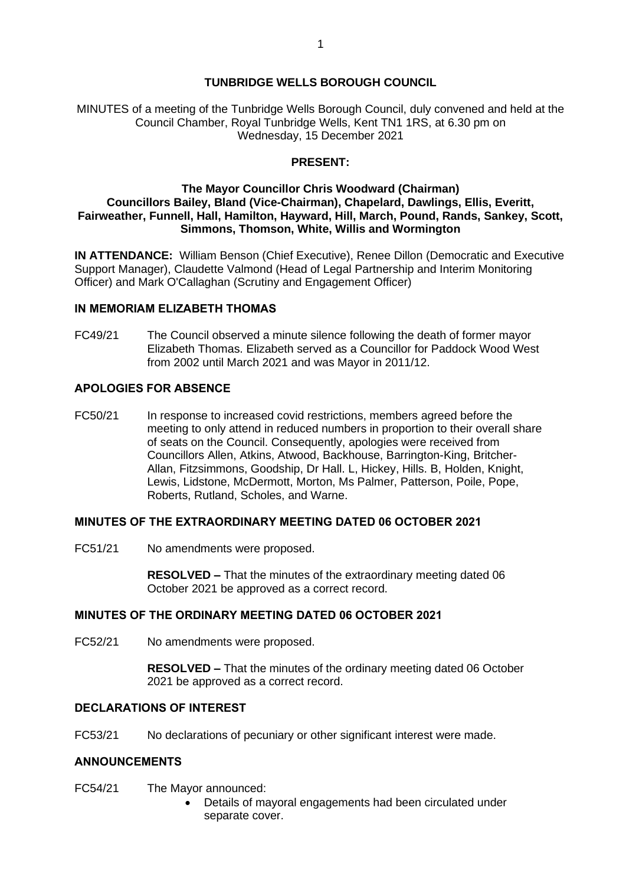# **TUNBRIDGE WELLS BOROUGH COUNCIL**

MINUTES of a meeting of the Tunbridge Wells Borough Council, duly convened and held at the Council Chamber, Royal Tunbridge Wells, Kent TN1 1RS, at 6.30 pm on Wednesday, 15 December 2021

## **PRESENT:**

## **The Mayor Councillor Chris Woodward (Chairman) Councillors Bailey, Bland (Vice-Chairman), Chapelard, Dawlings, Ellis, Everitt, Fairweather, Funnell, Hall, Hamilton, Hayward, Hill, March, Pound, Rands, Sankey, Scott, Simmons, Thomson, White, Willis and Wormington**

**IN ATTENDANCE:** William Benson (Chief Executive), Renee Dillon (Democratic and Executive Support Manager), Claudette Valmond (Head of Legal Partnership and Interim Monitoring Officer) and Mark O'Callaghan (Scrutiny and Engagement Officer)

# **IN MEMORIAM ELIZABETH THOMAS**

FC49/21 The Council observed a minute silence following the death of former mayor Elizabeth Thomas. Elizabeth served as a Councillor for Paddock Wood West from 2002 until March 2021 and was Mayor in 2011/12.

# **APOLOGIES FOR ABSENCE**

FC50/21 In response to increased covid restrictions, members agreed before the meeting to only attend in reduced numbers in proportion to their overall share of seats on the Council. Consequently, apologies were received from Councillors Allen, Atkins, Atwood, Backhouse, Barrington-King, Britcher-Allan, Fitzsimmons, Goodship, Dr Hall. L, Hickey, Hills. B, Holden, Knight, Lewis, Lidstone, McDermott, Morton, Ms Palmer, Patterson, Poile, Pope, Roberts, Rutland, Scholes, and Warne.

## **MINUTES OF THE EXTRAORDINARY MEETING DATED 06 OCTOBER 2021**

FC51/21 No amendments were proposed.

**RESOLVED –** That the minutes of the extraordinary meeting dated 06 October 2021 be approved as a correct record.

## **MINUTES OF THE ORDINARY MEETING DATED 06 OCTOBER 2021**

FC52/21 No amendments were proposed.

**RESOLVED –** That the minutes of the ordinary meeting dated 06 October 2021 be approved as a correct record.

# **DECLARATIONS OF INTEREST**

FC53/21 No declarations of pecuniary or other significant interest were made.

# **ANNOUNCEMENTS**

- FC54/21 The Mayor announced:
	- Details of mayoral engagements had been circulated under separate cover.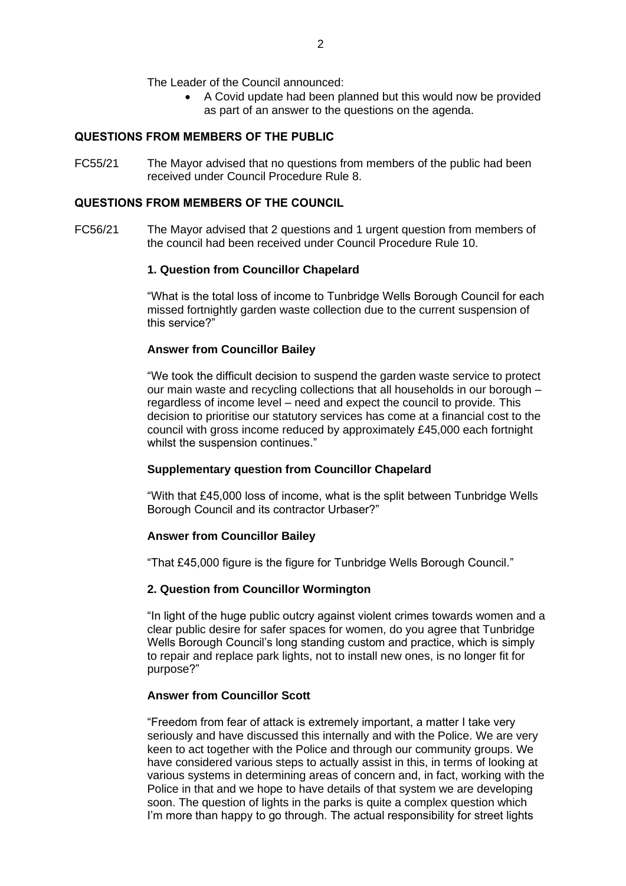The Leader of the Council announced:

• A Covid update had been planned but this would now be provided as part of an answer to the questions on the agenda.

# **QUESTIONS FROM MEMBERS OF THE PUBLIC**

FC55/21 The Mayor advised that no questions from members of the public had been received under Council Procedure Rule 8.

## **QUESTIONS FROM MEMBERS OF THE COUNCIL**

FC56/21 The Mayor advised that 2 questions and 1 urgent question from members of the council had been received under Council Procedure Rule 10.

## **1. Question from Councillor Chapelard**

"What is the total loss of income to Tunbridge Wells Borough Council for each missed fortnightly garden waste collection due to the current suspension of this service?"

## **Answer from Councillor Bailey**

"We took the difficult decision to suspend the garden waste service to protect our main waste and recycling collections that all households in our borough – regardless of income level – need and expect the council to provide. This decision to prioritise our statutory services has come at a financial cost to the council with gross income reduced by approximately £45,000 each fortnight whilst the suspension continues."

## **Supplementary question from Councillor Chapelard**

"With that £45,000 loss of income, what is the split between Tunbridge Wells Borough Council and its contractor Urbaser?"

## **Answer from Councillor Bailey**

"That £45,000 figure is the figure for Tunbridge Wells Borough Council."

## **2. Question from Councillor Wormington**

"In light of the huge public outcry against violent crimes towards women and a clear public desire for safer spaces for women, do you agree that Tunbridge Wells Borough Council's long standing custom and practice, which is simply to repair and replace park lights, not to install new ones, is no longer fit for purpose?"

## **Answer from Councillor Scott**

"Freedom from fear of attack is extremely important, a matter I take very seriously and have discussed this internally and with the Police. We are very keen to act together with the Police and through our community groups. We have considered various steps to actually assist in this, in terms of looking at various systems in determining areas of concern and, in fact, working with the Police in that and we hope to have details of that system we are developing soon. The question of lights in the parks is quite a complex question which I'm more than happy to go through. The actual responsibility for street lights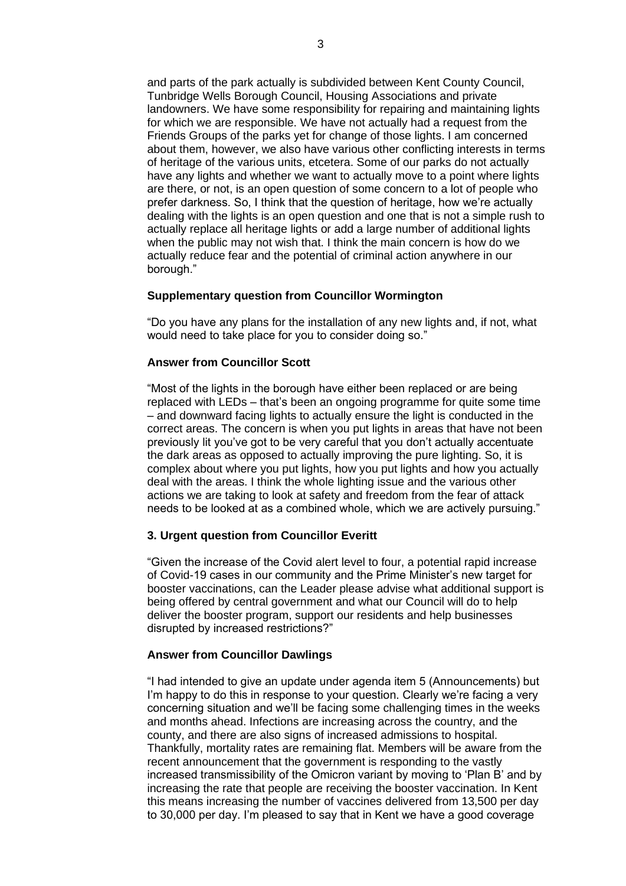and parts of the park actually is subdivided between Kent County Council, Tunbridge Wells Borough Council, Housing Associations and private landowners. We have some responsibility for repairing and maintaining lights for which we are responsible. We have not actually had a request from the Friends Groups of the parks yet for change of those lights. I am concerned about them, however, we also have various other conflicting interests in terms of heritage of the various units, etcetera. Some of our parks do not actually have any lights and whether we want to actually move to a point where lights are there, or not, is an open question of some concern to a lot of people who prefer darkness. So, I think that the question of heritage, how we're actually dealing with the lights is an open question and one that is not a simple rush to actually replace all heritage lights or add a large number of additional lights when the public may not wish that. I think the main concern is how do we actually reduce fear and the potential of criminal action anywhere in our borough."

#### **Supplementary question from Councillor Wormington**

"Do you have any plans for the installation of any new lights and, if not, what would need to take place for you to consider doing so."

### **Answer from Councillor Scott**

"Most of the lights in the borough have either been replaced or are being replaced with LEDs – that's been an ongoing programme for quite some time – and downward facing lights to actually ensure the light is conducted in the correct areas. The concern is when you put lights in areas that have not been previously lit you've got to be very careful that you don't actually accentuate the dark areas as opposed to actually improving the pure lighting. So, it is complex about where you put lights, how you put lights and how you actually deal with the areas. I think the whole lighting issue and the various other actions we are taking to look at safety and freedom from the fear of attack needs to be looked at as a combined whole, which we are actively pursuing."

### **3. Urgent question from Councillor Everitt**

"Given the increase of the Covid alert level to four, a potential rapid increase of Covid-19 cases in our community and the Prime Minister's new target for booster vaccinations, can the Leader please advise what additional support is being offered by central government and what our Council will do to help deliver the booster program, support our residents and help businesses disrupted by increased restrictions?"

#### **Answer from Councillor Dawlings**

"I had intended to give an update under agenda item 5 (Announcements) but I'm happy to do this in response to your question. Clearly we're facing a very concerning situation and we'll be facing some challenging times in the weeks and months ahead. Infections are increasing across the country, and the county, and there are also signs of increased admissions to hospital. Thankfully, mortality rates are remaining flat. Members will be aware from the recent announcement that the government is responding to the vastly increased transmissibility of the Omicron variant by moving to 'Plan B' and by increasing the rate that people are receiving the booster vaccination. In Kent this means increasing the number of vaccines delivered from 13,500 per day to 30,000 per day. I'm pleased to say that in Kent we have a good coverage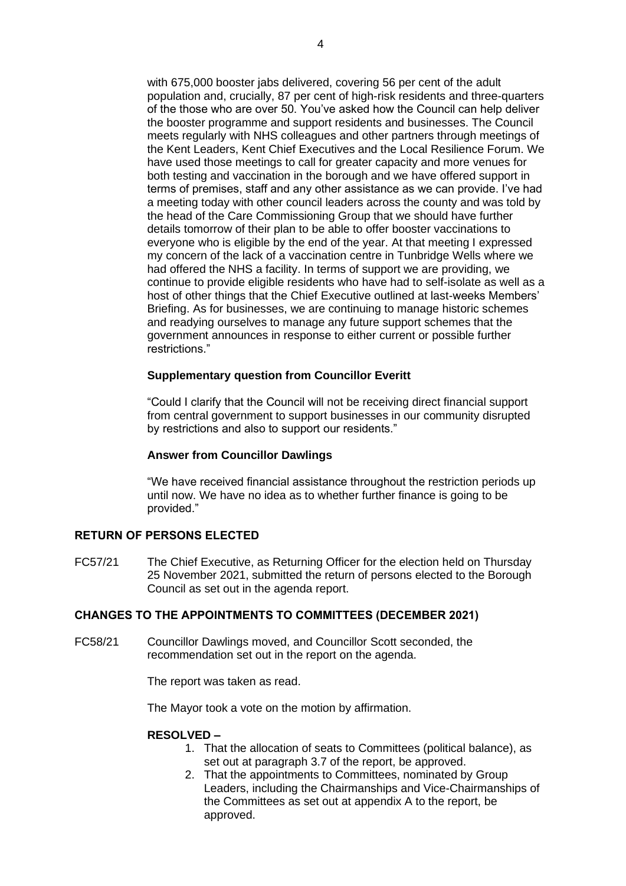with 675,000 booster jabs delivered, covering 56 per cent of the adult population and, crucially, 87 per cent of high-risk residents and three-quarters of the those who are over 50. You've asked how the Council can help deliver the booster programme and support residents and businesses. The Council meets regularly with NHS colleagues and other partners through meetings of the Kent Leaders, Kent Chief Executives and the Local Resilience Forum. We have used those meetings to call for greater capacity and more venues for both testing and vaccination in the borough and we have offered support in terms of premises, staff and any other assistance as we can provide. I've had a meeting today with other council leaders across the county and was told by the head of the Care Commissioning Group that we should have further details tomorrow of their plan to be able to offer booster vaccinations to everyone who is eligible by the end of the year. At that meeting I expressed my concern of the lack of a vaccination centre in Tunbridge Wells where we had offered the NHS a facility. In terms of support we are providing, we continue to provide eligible residents who have had to self-isolate as well as a host of other things that the Chief Executive outlined at last-weeks Members' Briefing. As for businesses, we are continuing to manage historic schemes and readying ourselves to manage any future support schemes that the government announces in response to either current or possible further restrictions."

## **Supplementary question from Councillor Everitt**

"Could I clarify that the Council will not be receiving direct financial support from central government to support businesses in our community disrupted by restrictions and also to support our residents."

## **Answer from Councillor Dawlings**

"We have received financial assistance throughout the restriction periods up until now. We have no idea as to whether further finance is going to be provided."

# **RETURN OF PERSONS ELECTED**

FC57/21 The Chief Executive, as Returning Officer for the election held on Thursday 25 November 2021, submitted the return of persons elected to the Borough Council as set out in the agenda report.

# **CHANGES TO THE APPOINTMENTS TO COMMITTEES (DECEMBER 2021)**

FC58/21 Councillor Dawlings moved, and Councillor Scott seconded, the recommendation set out in the report on the agenda.

The report was taken as read.

The Mayor took a vote on the motion by affirmation.

## **RESOLVED –**

- 1. That the allocation of seats to Committees (political balance), as set out at paragraph 3.7 of the report, be approved.
- 2. That the appointments to Committees, nominated by Group Leaders, including the Chairmanships and Vice-Chairmanships of the Committees as set out at appendix A to the report, be approved.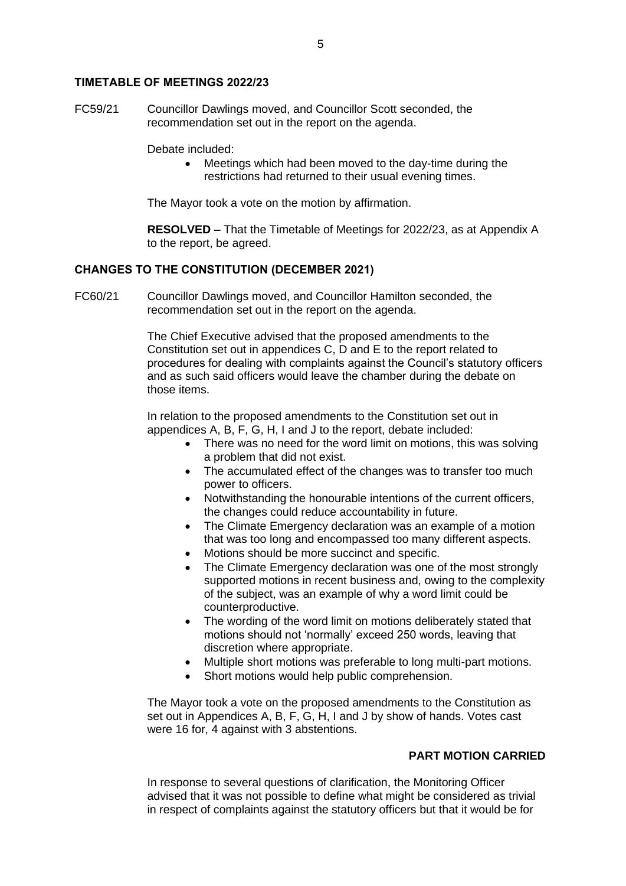### **TIMETABLE OF MEETINGS 2022/23**

FC59/21 Councillor Dawlings moved, and Councillor Scott seconded, the recommendation set out in the report on the agenda.

Debate included:

• Meetings which had been moved to the day-time during the restrictions had returned to their usual evening times.

The Mayor took a vote on the motion by affirmation.

**RESOLVED –** That the Timetable of Meetings for 2022/23, as at Appendix A to the report, be agreed.

## **CHANGES TO THE CONSTITUTION (DECEMBER 2021)**

FC60/21 Councillor Dawlings moved, and Councillor Hamilton seconded, the recommendation set out in the report on the agenda.

> The Chief Executive advised that the proposed amendments to the Constitution set out in appendices C, D and E to the report related to procedures for dealing with complaints against the Council's statutory officers and as such said officers would leave the chamber during the debate on those items.

In relation to the proposed amendments to the Constitution set out in appendices A, B, F, G, H, I and J to the report, debate included:

- There was no need for the word limit on motions, this was solving a problem that did not exist.
- The accumulated effect of the changes was to transfer too much power to officers.
- Notwithstanding the honourable intentions of the current officers, the changes could reduce accountability in future.
- The Climate Emergency declaration was an example of a motion that was too long and encompassed too many different aspects.
- Motions should be more succinct and specific.
- The Climate Emergency declaration was one of the most strongly supported motions in recent business and, owing to the complexity of the subject, was an example of why a word limit could be counterproductive.
- The wording of the word limit on motions deliberately stated that motions should not 'normally' exceed 250 words, leaving that discretion where appropriate.
- Multiple short motions was preferable to long multi-part motions.
- Short motions would help public comprehension.

The Mayor took a vote on the proposed amendments to the Constitution as set out in Appendices A, B, F, G, H, I and J by show of hands. Votes cast were 16 for, 4 against with 3 abstentions.

# **PART MOTION CARRIED**

In response to several questions of clarification, the Monitoring Officer advised that it was not possible to define what might be considered as trivial in respect of complaints against the statutory officers but that it would be for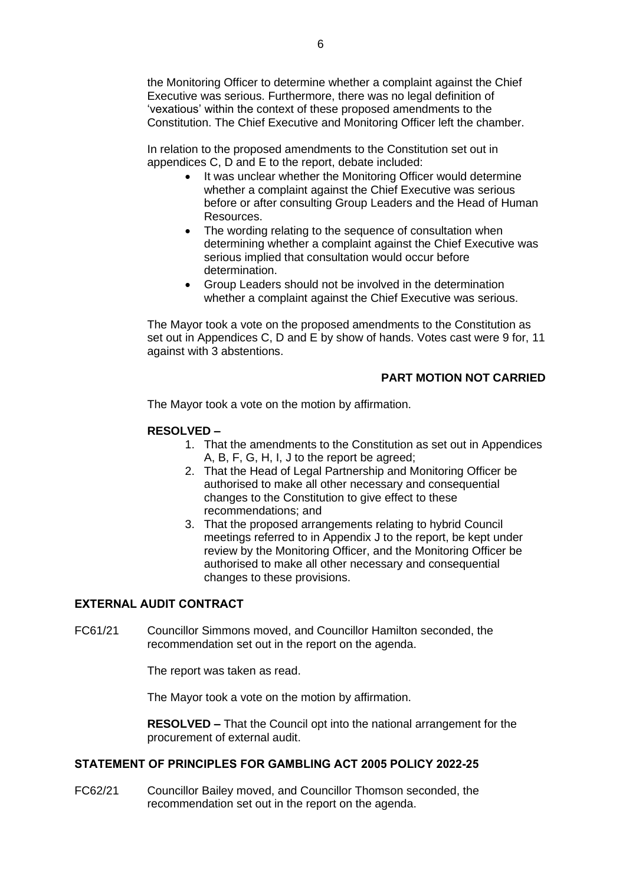In relation to the proposed amendments to the Constitution set out in appendices C, D and E to the report, debate included:

- It was unclear whether the Monitoring Officer would determine whether a complaint against the Chief Executive was serious before or after consulting Group Leaders and the Head of Human Resources.
- The wording relating to the sequence of consultation when determining whether a complaint against the Chief Executive was serious implied that consultation would occur before determination.
- Group Leaders should not be involved in the determination whether a complaint against the Chief Executive was serious.

The Mayor took a vote on the proposed amendments to the Constitution as set out in Appendices C, D and E by show of hands. Votes cast were 9 for, 11 against with 3 abstentions.

# **PART MOTION NOT CARRIED**

The Mayor took a vote on the motion by affirmation.

# **RESOLVED –**

- 1. That the amendments to the Constitution as set out in Appendices A, B, F, G, H, I, J to the report be agreed;
- 2. That the Head of Legal Partnership and Monitoring Officer be authorised to make all other necessary and consequential changes to the Constitution to give effect to these recommendations; and
- 3. That the proposed arrangements relating to hybrid Council meetings referred to in Appendix J to the report, be kept under review by the Monitoring Officer, and the Monitoring Officer be authorised to make all other necessary and consequential changes to these provisions.

# **EXTERNAL AUDIT CONTRACT**

FC61/21 Councillor Simmons moved, and Councillor Hamilton seconded, the recommendation set out in the report on the agenda.

The report was taken as read.

The Mayor took a vote on the motion by affirmation.

**RESOLVED –** That the Council opt into the national arrangement for the procurement of external audit.

# **STATEMENT OF PRINCIPLES FOR GAMBLING ACT 2005 POLICY 2022-25**

FC62/21 Councillor Bailey moved, and Councillor Thomson seconded, the recommendation set out in the report on the agenda.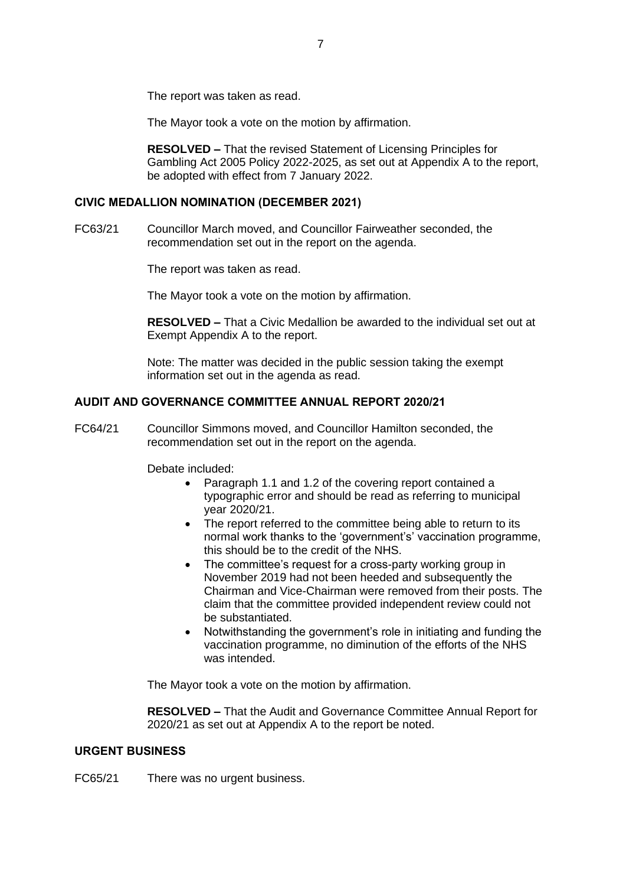The report was taken as read.

The Mayor took a vote on the motion by affirmation.

**RESOLVED –** That the revised Statement of Licensing Principles for Gambling Act 2005 Policy 2022-2025, as set out at Appendix A to the report, be adopted with effect from 7 January 2022.

# **CIVIC MEDALLION NOMINATION (DECEMBER 2021)**

FC63/21 Councillor March moved, and Councillor Fairweather seconded, the recommendation set out in the report on the agenda.

The report was taken as read.

The Mayor took a vote on the motion by affirmation.

**RESOLVED –** That a Civic Medallion be awarded to the individual set out at Exempt Appendix A to the report.

Note: The matter was decided in the public session taking the exempt information set out in the agenda as read.

# **AUDIT AND GOVERNANCE COMMITTEE ANNUAL REPORT 2020/21**

FC64/21 Councillor Simmons moved, and Councillor Hamilton seconded, the recommendation set out in the report on the agenda.

Debate included:

- Paragraph 1.1 and 1.2 of the covering report contained a typographic error and should be read as referring to municipal year 2020/21.
- The report referred to the committee being able to return to its normal work thanks to the 'government's' vaccination programme, this should be to the credit of the NHS.
- The committee's request for a cross-party working group in November 2019 had not been heeded and subsequently the Chairman and Vice-Chairman were removed from their posts. The claim that the committee provided independent review could not be substantiated.
- Notwithstanding the government's role in initiating and funding the vaccination programme, no diminution of the efforts of the NHS was intended.

The Mayor took a vote on the motion by affirmation.

**RESOLVED –** That the Audit and Governance Committee Annual Report for 2020/21 as set out at Appendix A to the report be noted.

## **URGENT BUSINESS**

FC65/21 There was no urgent business.